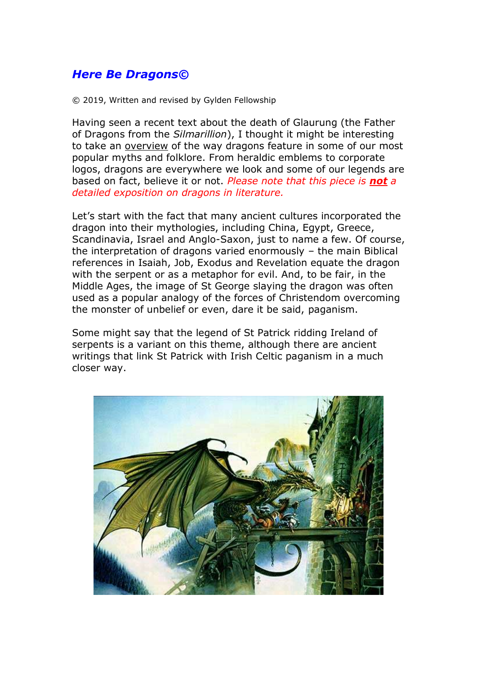## *Here Be Dragons©*

© 2019, Written and revised by Gylden Fellowship

Having seen a recent text about the death of Glaurung (the Father of Dragons from the *Silmarillion*), I thought it might be interesting to take an overview of the way dragons feature in some of our most popular myths and folklore. From heraldic emblems to corporate logos, dragons are everywhere we look and some of our legends are based on fact, believe it or not. *Please note that this piece is not a detailed exposition on dragons in literature.*

Let's start with the fact that many ancient cultures incorporated the dragon into their mythologies, including China, Egypt, Greece, Scandinavia, Israel and Anglo-Saxon, just to name a few. Of course, the interpretation of dragons varied enormously – the main Biblical references in Isaiah, Job, Exodus and Revelation equate the dragon with the serpent or as a metaphor for evil. And, to be fair, in the Middle Ages, the image of St George slaying the dragon was often used as a popular analogy of the forces of Christendom overcoming the monster of unbelief or even, dare it be said, paganism.

Some might say that the legend of St Patrick ridding Ireland of serpents is a variant on this theme, although there are ancient writings that link St Patrick with Irish Celtic paganism in a much closer way.

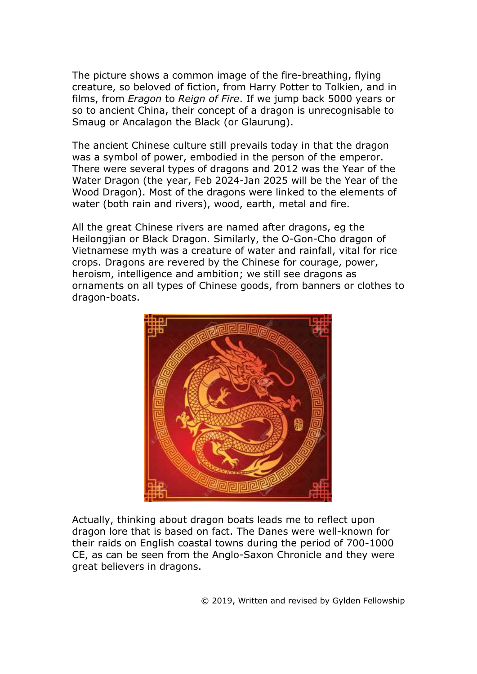The picture shows a common image of the fire-breathing, flying creature, so beloved of fiction, from Harry Potter to Tolkien, and in films, from *Eragon* to *Reign of Fire*. If we jump back 5000 years or so to ancient China, their concept of a dragon is unrecognisable to Smaug or Ancalagon the Black (or Glaurung).

The ancient Chinese culture still prevails today in that the dragon was a symbol of power, embodied in the person of the emperor. There were several types of dragons and 2012 was the Year of the Water Dragon (the year, Feb 2024-Jan 2025 will be the Year of the Wood Dragon). Most of the dragons were linked to the elements of water (both rain and rivers), wood, earth, metal and fire.

All the great Chinese rivers are named after dragons, eg the Heilongjian or Black Dragon. Similarly, the O-Gon-Cho dragon of Vietnamese myth was a creature of water and rainfall, vital for rice crops. Dragons are revered by the Chinese for courage, power, heroism, intelligence and ambition; we still see dragons as ornaments on all types of Chinese goods, from banners or clothes to dragon-boats.



Actually, thinking about dragon boats leads me to reflect upon dragon lore that is based on fact. The Danes were well-known for their raids on English coastal towns during the period of 700-1000 CE, as can be seen from the Anglo-Saxon Chronicle and they were great believers in dragons.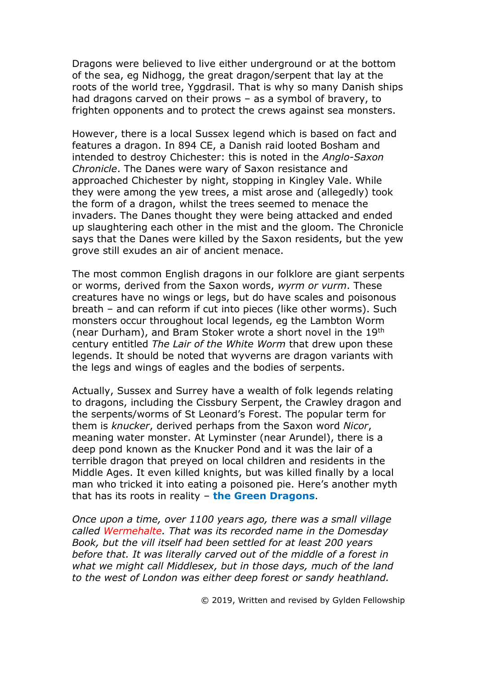Dragons were believed to live either underground or at the bottom of the sea, eg Nidhogg, the great dragon/serpent that lay at the roots of the world tree, Yggdrasil. That is why so many Danish ships had dragons carved on their prows – as a symbol of bravery, to frighten opponents and to protect the crews against sea monsters.

However, there is a local Sussex legend which is based on fact and features a dragon. In 894 CE, a Danish raid looted Bosham and intended to destroy Chichester: this is noted in the *Anglo-Saxon Chronicle*. The Danes were wary of Saxon resistance and approached Chichester by night, stopping in Kingley Vale. While they were among the yew trees, a mist arose and (allegedly) took the form of a dragon, whilst the trees seemed to menace the invaders. The Danes thought they were being attacked and ended up slaughtering each other in the mist and the gloom. The Chronicle says that the Danes were killed by the Saxon residents, but the yew grove still exudes an air of ancient menace.

The most common English dragons in our folklore are giant serpents or worms, derived from the Saxon words, *wyrm or vurm*. These creatures have no wings or legs, but do have scales and poisonous breath – and can reform if cut into pieces (like other worms). Such monsters occur throughout local legends, eg the Lambton Worm (near Durham), and Bram Stoker wrote a short novel in the 19th century entitled *The Lair of the White Worm* that drew upon these legends. It should be noted that wyverns are dragon variants with the legs and wings of eagles and the bodies of serpents.

Actually, Sussex and Surrey have a wealth of folk legends relating to dragons, including the Cissbury Serpent, the Crawley dragon and the serpents/worms of St Leonard's Forest. The popular term for them is *knucker*, derived perhaps from the Saxon word *Nicor*, meaning water monster. At Lyminster (near Arundel), there is a deep pond known as the Knucker Pond and it was the lair of a terrible dragon that preyed on local children and residents in the Middle Ages. It even killed knights, but was killed finally by a local man who tricked it into eating a poisoned pie. Here's another myth that has its roots in reality – **the Green Dragons**.

*Once upon a time, over 1100 years ago, there was a small village called Wermehalte. That was its recorded name in the Domesday Book, but the vill itself had been settled for at least 200 years before that. It was literally carved out of the middle of a forest in what we might call Middlesex, but in those days, much of the land to the west of London was either deep forest or sandy heathland.*

© 2019, Written and revised by Gylden Fellowship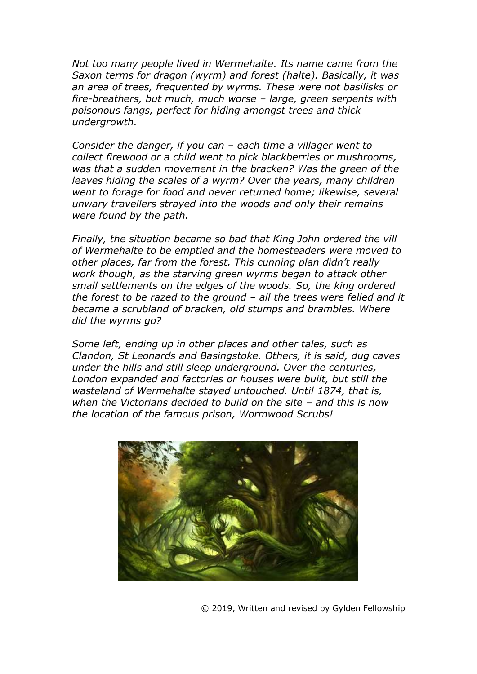*Not too many people lived in Wermehalte. Its name came from the Saxon terms for dragon (wyrm) and forest (halte). Basically, it was an area of trees, frequented by wyrms. These were not basilisks or fire-breathers, but much, much worse – large, green serpents with poisonous fangs, perfect for hiding amongst trees and thick undergrowth.*

*Consider the danger, if you can – each time a villager went to collect firewood or a child went to pick blackberries or mushrooms, was that a sudden movement in the bracken? Was the green of the leaves hiding the scales of a wyrm? Over the years, many children went to forage for food and never returned home; likewise, several unwary travellers strayed into the woods and only their remains were found by the path.*

*Finally, the situation became so bad that King John ordered the vill of Wermehalte to be emptied and the homesteaders were moved to other places, far from the forest. This cunning plan didn't really work though, as the starving green wyrms began to attack other small settlements on the edges of the woods. So, the king ordered the forest to be razed to the ground – all the trees were felled and it became a scrubland of bracken, old stumps and brambles. Where did the wyrms go?*

*Some left, ending up in other places and other tales, such as Clandon, St Leonards and Basingstoke. Others, it is said, dug caves under the hills and still sleep underground. Over the centuries, London expanded and factories or houses were built, but still the wasteland of Wermehalte stayed untouched. Until 1874, that is, when the Victorians decided to build on the site – and this is now the location of the famous prison, Wormwood Scrubs!*



© 2019, Written and revised by Gylden Fellowship